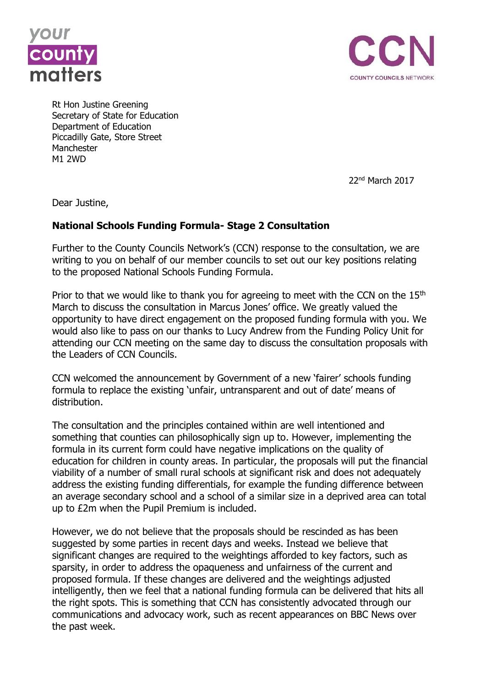



Rt Hon Justine Greening Secretary of State for Education Department of Education Piccadilly Gate, Store Street Manchester M1 2WD

22nd March 2017

Dear Justine,

## **National Schools Funding Formula- Stage 2 Consultation**

Further to the County Councils Network's (CCN) response to the consultation, we are writing to you on behalf of our member councils to set out our key positions relating to the proposed National Schools Funding Formula.

Prior to that we would like to thank you for agreeing to meet with the CCN on the  $15<sup>th</sup>$ March to discuss the consultation in Marcus Jones' office. We greatly valued the opportunity to have direct engagement on the proposed funding formula with you. We would also like to pass on our thanks to Lucy Andrew from the Funding Policy Unit for attending our CCN meeting on the same day to discuss the consultation proposals with the Leaders of CCN Councils.

CCN welcomed the announcement by Government of a new 'fairer' schools funding formula to replace the existing 'unfair, untransparent and out of date' means of distribution.

The consultation and the principles contained within are well intentioned and something that counties can philosophically sign up to. However, implementing the formula in its current form could have negative implications on the quality of education for children in county areas. In particular, the proposals will put the financial viability of a number of small rural schools at significant risk and does not adequately address the existing funding differentials, for example the funding difference between an average secondary school and a school of a similar size in a deprived area can total up to £2m when the Pupil Premium is included.

However, we do not believe that the proposals should be rescinded as has been suggested by some parties in recent days and weeks. Instead we believe that significant changes are required to the weightings afforded to key factors, such as sparsity, in order to address the opaqueness and unfairness of the current and proposed formula. If these changes are delivered and the weightings adjusted intelligently, then we feel that a national funding formula can be delivered that hits all the right spots. This is something that CCN has consistently advocated through our communications and advocacy work, such as recent appearances on BBC News over the past week.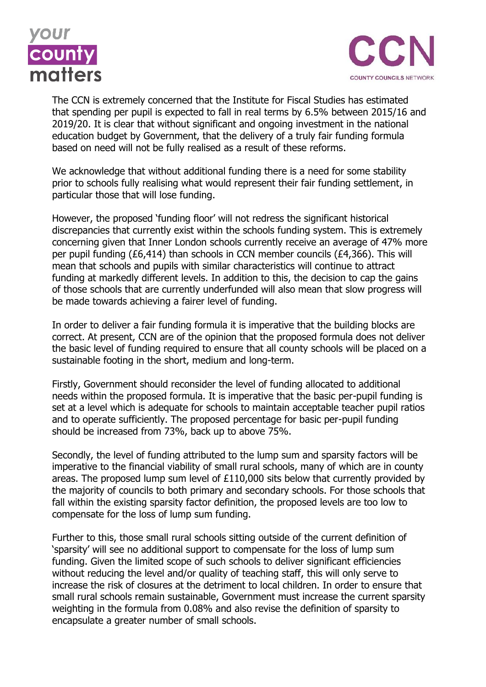



The CCN is extremely concerned that the Institute for Fiscal Studies has estimated that spending per pupil is expected to fall in real terms by 6.5% between 2015/16 and 2019/20. It is clear that without significant and ongoing investment in the national education budget by Government, that the delivery of a truly fair funding formula based on need will not be fully realised as a result of these reforms.

We acknowledge that without additional funding there is a need for some stability prior to schools fully realising what would represent their fair funding settlement, in particular those that will lose funding.

However, the proposed 'funding floor' will not redress the significant historical discrepancies that currently exist within the schools funding system. This is extremely concerning given that Inner London schools currently receive an average of 47% more per pupil funding (£6,414) than schools in CCN member councils (£4,366). This will mean that schools and pupils with similar characteristics will continue to attract funding at markedly different levels. In addition to this, the decision to cap the gains of those schools that are currently underfunded will also mean that slow progress will be made towards achieving a fairer level of funding.

In order to deliver a fair funding formula it is imperative that the building blocks are correct. At present, CCN are of the opinion that the proposed formula does not deliver the basic level of funding required to ensure that all county schools will be placed on a sustainable footing in the short, medium and long-term.

Firstly, Government should reconsider the level of funding allocated to additional needs within the proposed formula. It is imperative that the basic per-pupil funding is set at a level which is adequate for schools to maintain acceptable teacher pupil ratios and to operate sufficiently. The proposed percentage for basic per-pupil funding should be increased from 73%, back up to above 75%.

Secondly, the level of funding attributed to the lump sum and sparsity factors will be imperative to the financial viability of small rural schools, many of which are in county areas. The proposed lump sum level of £110,000 sits below that currently provided by the majority of councils to both primary and secondary schools. For those schools that fall within the existing sparsity factor definition, the proposed levels are too low to compensate for the loss of lump sum funding.

Further to this, those small rural schools sitting outside of the current definition of 'sparsity' will see no additional support to compensate for the loss of lump sum funding. Given the limited scope of such schools to deliver significant efficiencies without reducing the level and/or quality of teaching staff, this will only serve to increase the risk of closures at the detriment to local children. In order to ensure that small rural schools remain sustainable, Government must increase the current sparsity weighting in the formula from 0.08% and also revise the definition of sparsity to encapsulate a greater number of small schools.